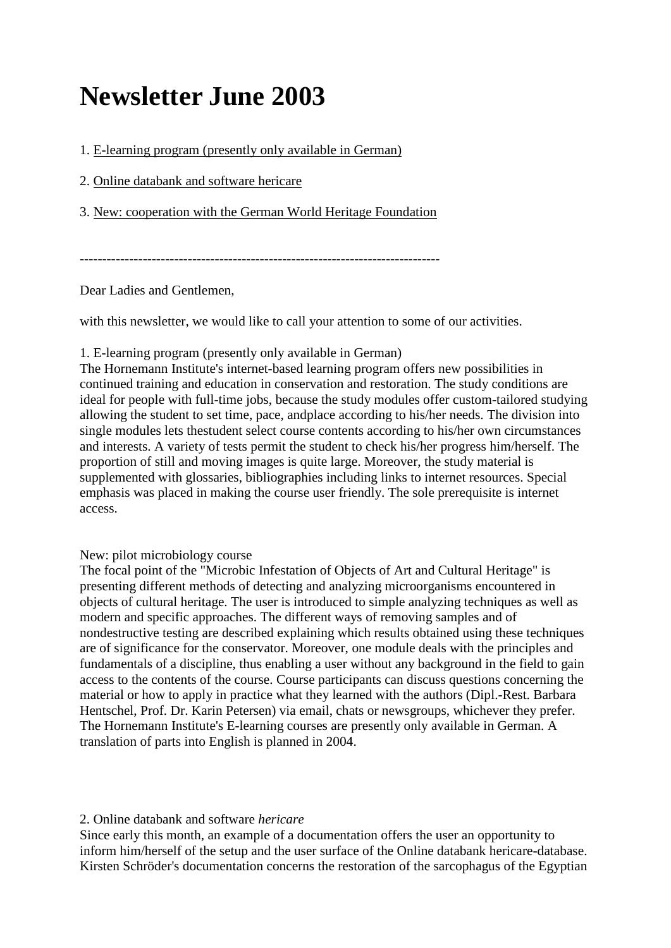# **Newsletter June 2003**

1. [E-learning program \(presently only available in German\)](https://www.hornemann-institut.de/english/newsletter_june_03.php#1)

2. [Online databank and software hericare](https://www.hornemann-institut.de/english/newsletter_june_03.php#2)

3. [New: cooperation with the German World Heritage Foundation](https://www.hornemann-institut.de/english/newsletter_june_03.php#3)

--------------------------------------------------------------------------------

Dear Ladies and Gentlemen,

with this newsletter, we would like to call your attention to some of our activities.

## 1. E-learning program (presently only available in German)

The Hornemann Institute's internet-based learning program offers new possibilities in continued training and education in conservation and restoration. The study conditions are ideal for people with full-time jobs, because the study modules offer custom-tailored studying allowing the student to set time, pace, andplace according to his/her needs. The division into single modules lets thestudent select course contents according to his/her own circumstances and interests. A variety of tests permit the student to check his/her progress him/herself. The proportion of still and moving images is quite large. Moreover, the study material is supplemented with glossaries, bibliographies including links to internet resources. Special emphasis was placed in making the course user friendly. The sole prerequisite is internet access.

# New: pilot microbiology course

The focal point of the "Microbic Infestation of Objects of Art and Cultural Heritage" is presenting different methods of detecting and analyzing microorganisms encountered in objects of cultural heritage. The user is introduced to simple analyzing techniques as well as modern and specific approaches. The different ways of removing samples and of nondestructive testing are described explaining which results obtained using these techniques are of significance for the conservator. Moreover, one module deals with the principles and fundamentals of a discipline, thus enabling a user without any background in the field to gain access to the contents of the course. Course participants can discuss questions concerning the material or how to apply in practice what they learned with the authors (Dipl.-Rest. Barbara Hentschel, Prof. Dr. Karin Petersen) via email, chats or newsgroups, whichever they prefer. The Hornemann Institute's E-learning courses are presently only available in German. A translation of parts into English is planned in 2004.

#### 2. Online databank and software *hericare*

Since early this month, an example of a documentation offers the user an opportunity to inform him/herself of the setup and the user surface of the Online databank hericare-database. Kirsten Schröder's documentation concerns the restoration of the sarcophagus of the Egyptian